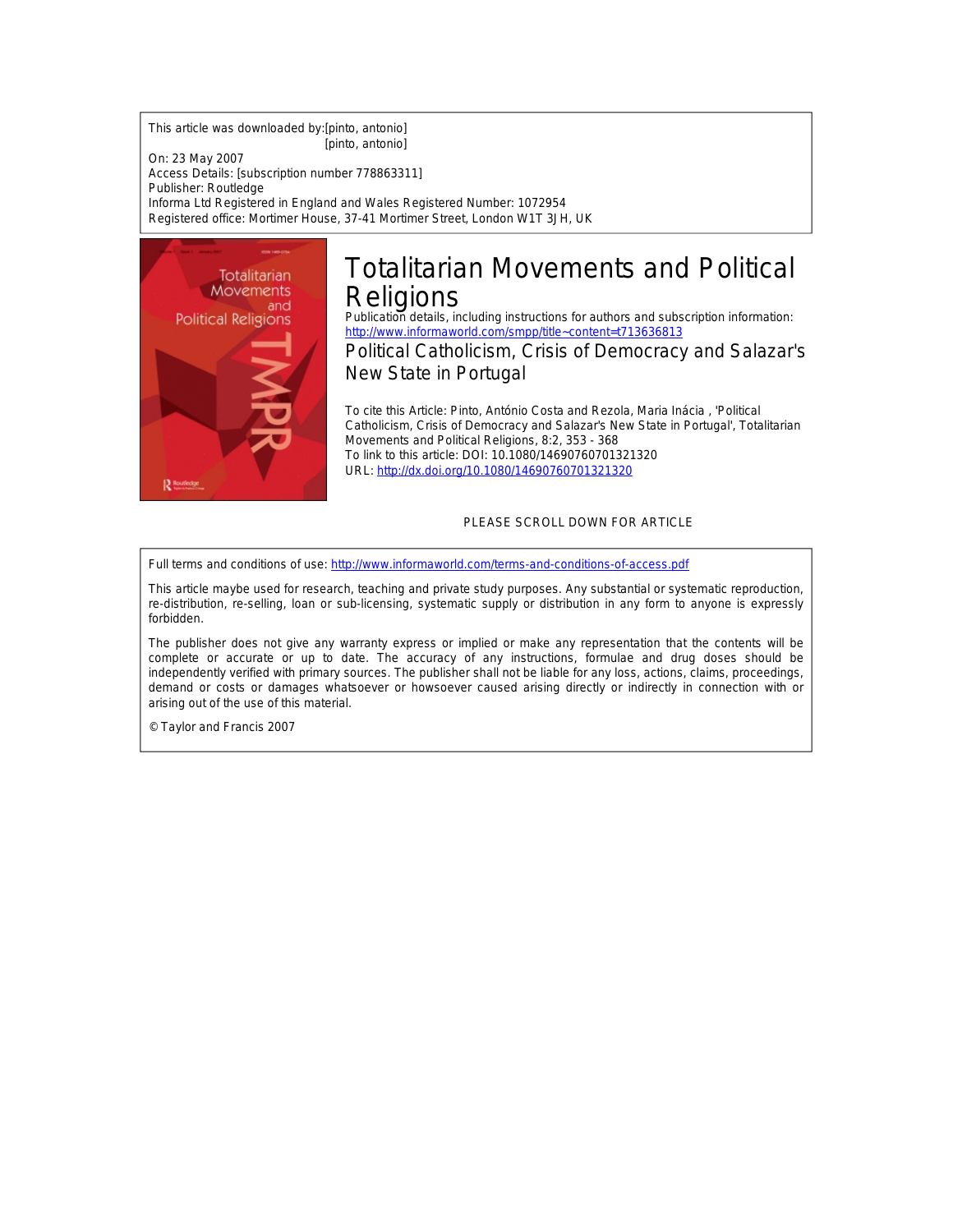This article was downloaded by:[pinto, antonio] [pinto, antonio]

On: 23 May 2007 Access Details: [subscription number 778863311] Publisher: Routledge Informa Ltd Registered in England and Wales Registered Number: 1072954 Registered office: Mortimer House, 37-41 Mortimer Street, London W1T 3JH, UK



# Totalitarian Movements and Political Religions<br>Publication details, including instructions for authors and subscription information:

<http://www.informaworld.com/smpp/title~content=t713636813>

Political Catholicism, Crisis of Democracy and Salazar's New State in Portugal

To cite this Article: Pinto, António Costa and Rezola, Maria Inácia , 'Political Catholicism, Crisis of Democracy and Salazar's New State in Portugal', Totalitarian Movements and Political Religions, 8:2, 353 - 368 To link to this article: DOI: 10.1080/14690760701321320 URL: <http://dx.doi.org/10.1080/14690760701321320>

#### PLEASE SCROLL DOWN FOR ARTICLE

Full terms and conditions of use: <http://www.informaworld.com/terms-and-conditions-of-access.pdf>

This article maybe used for research, teaching and private study purposes. Any substantial or systematic reproduction, re-distribution, re-selling, loan or sub-licensing, systematic supply or distribution in any form to anyone is expressly forbidden.

The publisher does not give any warranty express or implied or make any representation that the contents will be complete or accurate or up to date. The accuracy of any instructions, formulae and drug doses should be independently verified with primary sources. The publisher shall not be liable for any loss, actions, claims, proceedings, demand or costs or damages whatsoever or howsoever caused arising directly or indirectly in connection with or arising out of the use of this material.

© Taylor and Francis 2007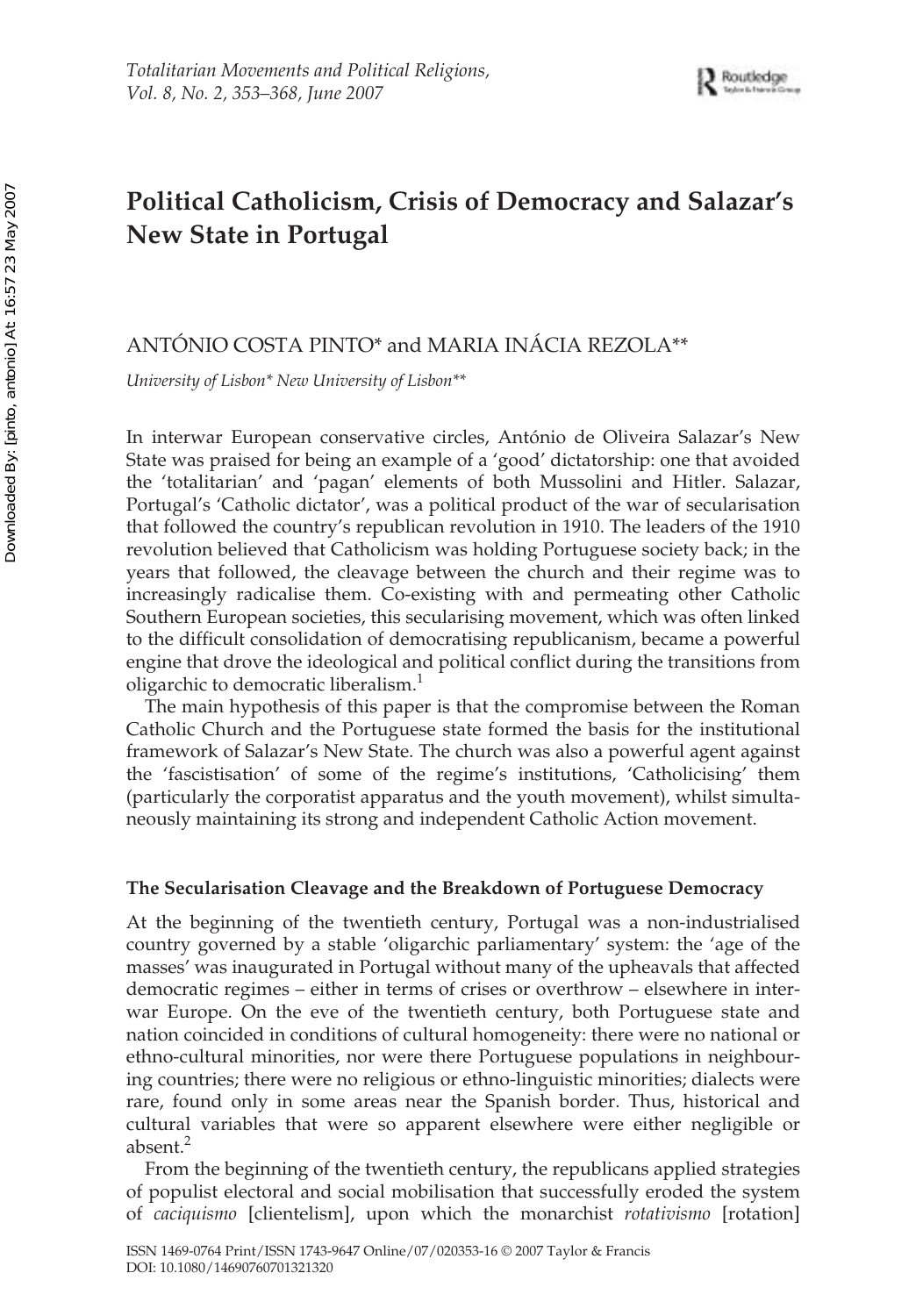## **Political Catholicism, Crisis of Democracy and Salazar's New State in Portugal**

### ANTÓNIO COSTA PINTO\* and MARIA INÁCIA REZOLA\*\*

*University of Lisbon\* New University of Lisbon\*\**

In interwar European conservative circles, António de Oliveira Salazar's New State was praised for being an example of a 'good' dictatorship: one that avoided the 'totalitarian' and 'pagan' elements of both Mussolini and Hitler. Salazar, Portugal's 'Catholic dictator', was a political product of the war of secularisation that followed the country's republican revolution in 1910. The leaders of the 1910 revolution believed that Catholicism was holding Portuguese society back; in the years that followed, the cleavage between the church and their regime was to increasingly radicalise them. Co-existing with and permeating other Catholic Southern European societies, this secularising movement, which was often linked to the difficult consolidation of democratising republicanism, became a powerful engine that drove the ideological and political conflict during the transitions from oligarchic to democratic liberalism.<sup>1</sup>

The main hypothesis of this paper is that the compromise between the Roman Catholic Church and the Portuguese state formed the basis for the institutional framework of Salazar's New State. The church was also a powerful agent against the 'fascistisation' of some of the regime's institutions, 'Catholicising' them (particularly the corporatist apparatus and the youth movement), whilst simultaneously maintaining its strong and independent Catholic Action movement.

#### **The Secularisation Cleavage and the Breakdown of Portuguese Democracy**

At the beginning of the twentieth century, Portugal was a non-industrialised country governed by a stable 'oligarchic parliamentary' system: the 'age of the masses' was inaugurated in Portugal without many of the upheavals that affected democratic regimes – either in terms of crises or overthrow – elsewhere in interwar Europe. On the eve of the twentieth century, both Portuguese state and nation coincided in conditions of cultural homogeneity: there were no national or ethno-cultural minorities, nor were there Portuguese populations in neighbouring countries; there were no religious or ethno-linguistic minorities; dialects were rare, found only in some areas near the Spanish border. Thus, historical and cultural variables that were so apparent elsewhere were either negligible or absent.<sup>2</sup>

From the beginning of the twentieth century, the republicans applied strategies of populist electoral and social mobilisation that successfully eroded the system of *caciquismo* [clientelism], upon which the monarchist *rotativismo* [rotation]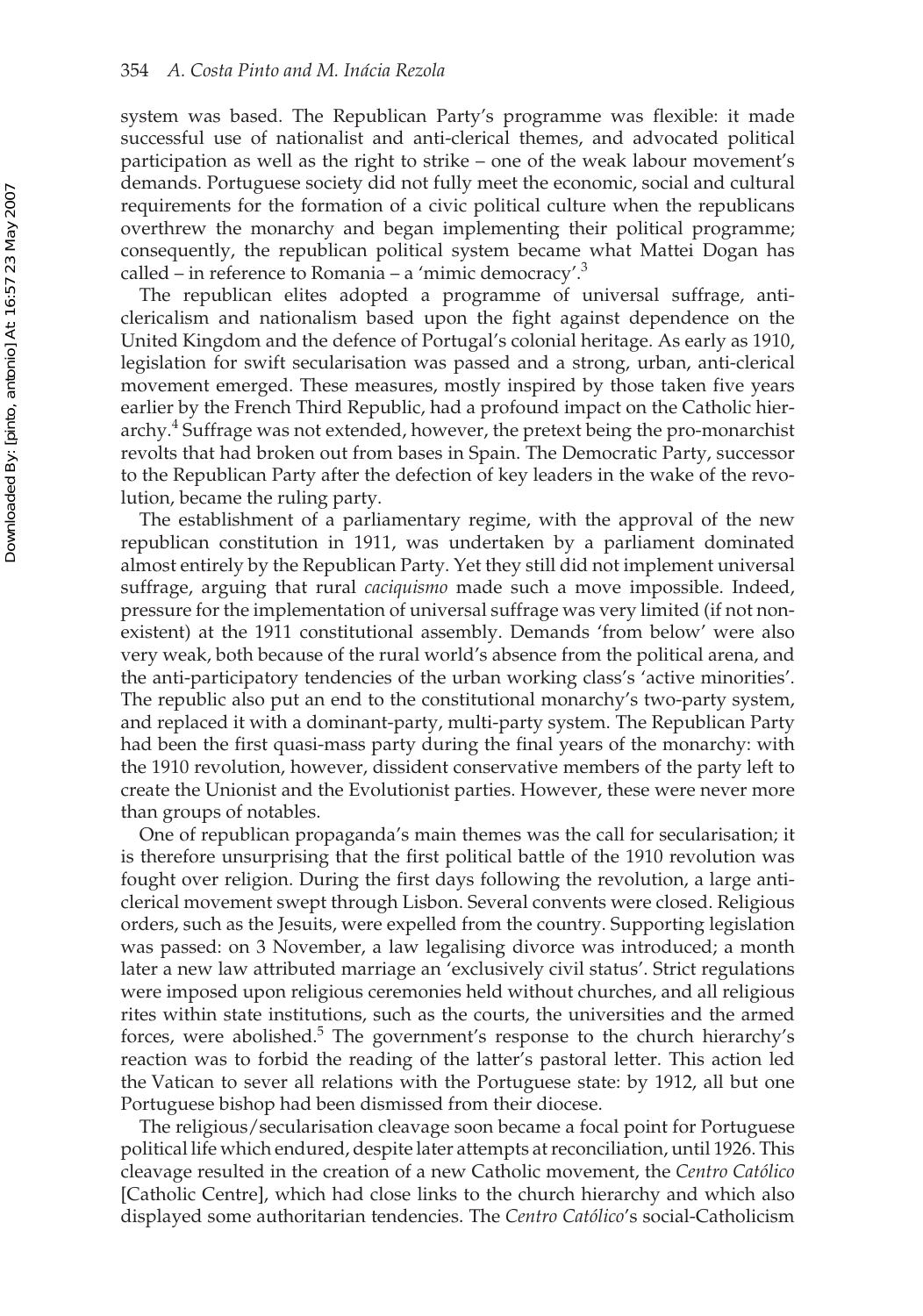system was based. The Republican Party's programme was flexible: it made successful use of nationalist and anti-clerical themes, and advocated political participation as well as the right to strike – one of the weak labour movement's demands. Portuguese society did not fully meet the economic, social and cultural requirements for the formation of a civic political culture when the republicans overthrew the monarchy and began implementing their political programme; consequently, the republican political system became what Mattei Dogan has called – in reference to Romania – a 'mimic democracy'.<sup>3</sup>

The republican elites adopted a programme of universal suffrage, anticlericalism and nationalism based upon the fight against dependence on the United Kingdom and the defence of Portugal's colonial heritage. As early as 1910, legislation for swift secularisation was passed and a strong, urban, anti-clerical movement emerged. These measures, mostly inspired by those taken five years earlier by the French Third Republic, had a profound impact on the Catholic hierarchy.4 Suffrage was not extended, however, the pretext being the pro-monarchist revolts that had broken out from bases in Spain. The Democratic Party, successor to the Republican Party after the defection of key leaders in the wake of the revolution, became the ruling party.

The establishment of a parliamentary regime, with the approval of the new republican constitution in 1911, was undertaken by a parliament dominated almost entirely by the Republican Party. Yet they still did not implement universal suffrage, arguing that rural *caciquismo* made such a move impossible. Indeed, pressure for the implementation of universal suffrage was very limited (if not nonexistent) at the 1911 constitutional assembly. Demands 'from below' were also very weak, both because of the rural world's absence from the political arena, and the anti-participatory tendencies of the urban working class's 'active minorities'. The republic also put an end to the constitutional monarchy's two-party system, and replaced it with a dominant-party, multi-party system. The Republican Party had been the first quasi-mass party during the final years of the monarchy: with the 1910 revolution, however, dissident conservative members of the party left to create the Unionist and the Evolutionist parties. However, these were never more than groups of notables.

One of republican propaganda's main themes was the call for secularisation; it is therefore unsurprising that the first political battle of the 1910 revolution was fought over religion. During the first days following the revolution, a large anticlerical movement swept through Lisbon. Several convents were closed. Religious orders, such as the Jesuits, were expelled from the country. Supporting legislation was passed: on 3 November, a law legalising divorce was introduced; a month later a new law attributed marriage an 'exclusively civil status'. Strict regulations were imposed upon religious ceremonies held without churches, and all religious rites within state institutions, such as the courts, the universities and the armed forces, were abolished.<sup>5</sup> The government's response to the church hierarchy's reaction was to forbid the reading of the latter's pastoral letter. This action led the Vatican to sever all relations with the Portuguese state: by 1912, all but one Portuguese bishop had been dismissed from their diocese.

The religious/secularisation cleavage soon became a focal point for Portuguese political life which endured, despite later attempts at reconciliation, until 1926. This cleavage resulted in the creation of a new Catholic movement, the *Centro Católico* [Catholic Centre], which had close links to the church hierarchy and which also displayed some authoritarian tendencies. The *Centro Católico*'s social-Catholicism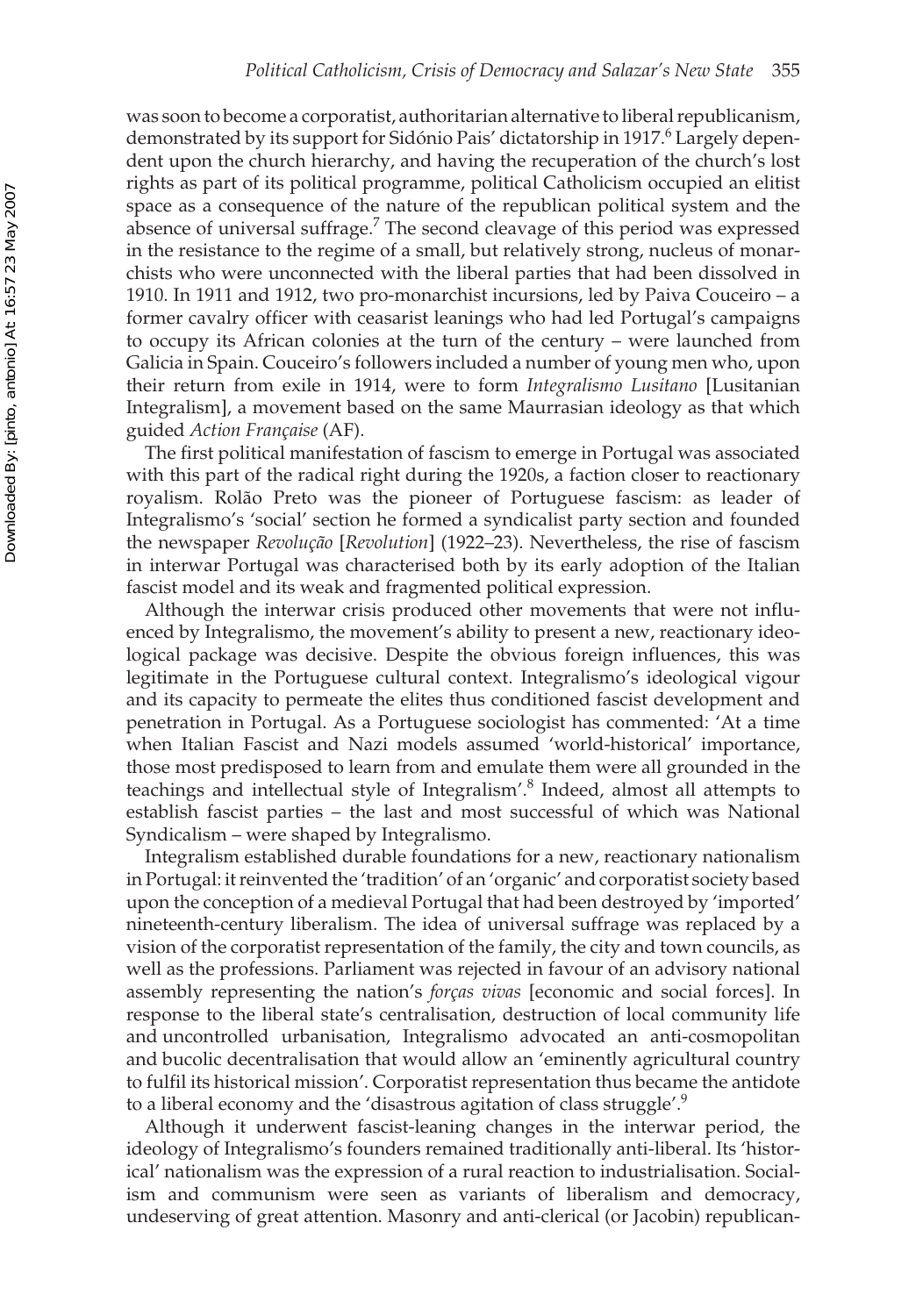was soon to become a corporatist, authoritarian alternative to liberal republicanism, demonstrated by its support for Sidónio Pais' dictatorship in 1917.<sup>6</sup> Largely dependent upon the church hierarchy, and having the recuperation of the church's lost rights as part of its political programme, political Catholicism occupied an elitist space as a consequence of the nature of the republican political system and the absence of universal suffrage.<sup>7</sup> The second cleavage of this period was expressed in the resistance to the regime of a small, but relatively strong, nucleus of monarchists who were unconnected with the liberal parties that had been dissolved in 1910. In 1911 and 1912, two pro-monarchist incursions, led by Paiva Couceiro – a former cavalry officer with ceasarist leanings who had led Portugal's campaigns to occupy its African colonies at the turn of the century – were launched from Galicia in Spain. Couceiro's followers included a number of young men who, upon their return from exile in 1914, were to form *Integralismo Lusitano* [Lusitanian Integralism], a movement based on the same Maurrasian ideology as that which guided *Action Française* (AF).

The first political manifestation of fascism to emerge in Portugal was associated with this part of the radical right during the 1920s, a faction closer to reactionary royalism. Rolão Preto was the pioneer of Portuguese fascism: as leader of Integralismo's 'social' section he formed a syndicalist party section and founded the newspaper *Revolução* [*Revolution*] (1922–23). Nevertheless, the rise of fascism in interwar Portugal was characterised both by its early adoption of the Italian fascist model and its weak and fragmented political expression.

Although the interwar crisis produced other movements that were not influenced by Integralismo, the movement's ability to present a new, reactionary ideological package was decisive. Despite the obvious foreign influences, this was legitimate in the Portuguese cultural context. Integralismo's ideological vigour and its capacity to permeate the elites thus conditioned fascist development and penetration in Portugal. As a Portuguese sociologist has commented: 'At a time when Italian Fascist and Nazi models assumed 'world-historical' importance, those most predisposed to learn from and emulate them were all grounded in the teachings and intellectual style of Integralism'.<sup>8</sup> Indeed, almost all attempts to establish fascist parties – the last and most successful of which was National Syndicalism – were shaped by Integralismo.

Integralism established durable foundations for a new, reactionary nationalism in Portugal: it reinvented the 'tradition' of an 'organic' and corporatist society based upon the conception of a medieval Portugal that had been destroyed by 'imported' nineteenth-century liberalism. The idea of universal suffrage was replaced by a vision of the corporatist representation of the family, the city and town councils, as well as the professions. Parliament was rejected in favour of an advisory national assembly representing the nation's *forças vivas* [economic and social forces]. In response to the liberal state's centralisation, destruction of local community life and uncontrolled urbanisation, Integralismo advocated an anti-cosmopolitan and bucolic decentralisation that would allow an 'eminently agricultural country to fulfil its historical mission'. Corporatist representation thus became the antidote to a liberal economy and the 'disastrous agitation of class struggle'.<sup>9</sup>

Although it underwent fascist-leaning changes in the interwar period, the ideology of Integralismo's founders remained traditionally anti-liberal. Its 'historical' nationalism was the expression of a rural reaction to industrialisation. Socialism and communism were seen as variants of liberalism and democracy, undeserving of great attention. Masonry and anti-clerical (or Jacobin) republican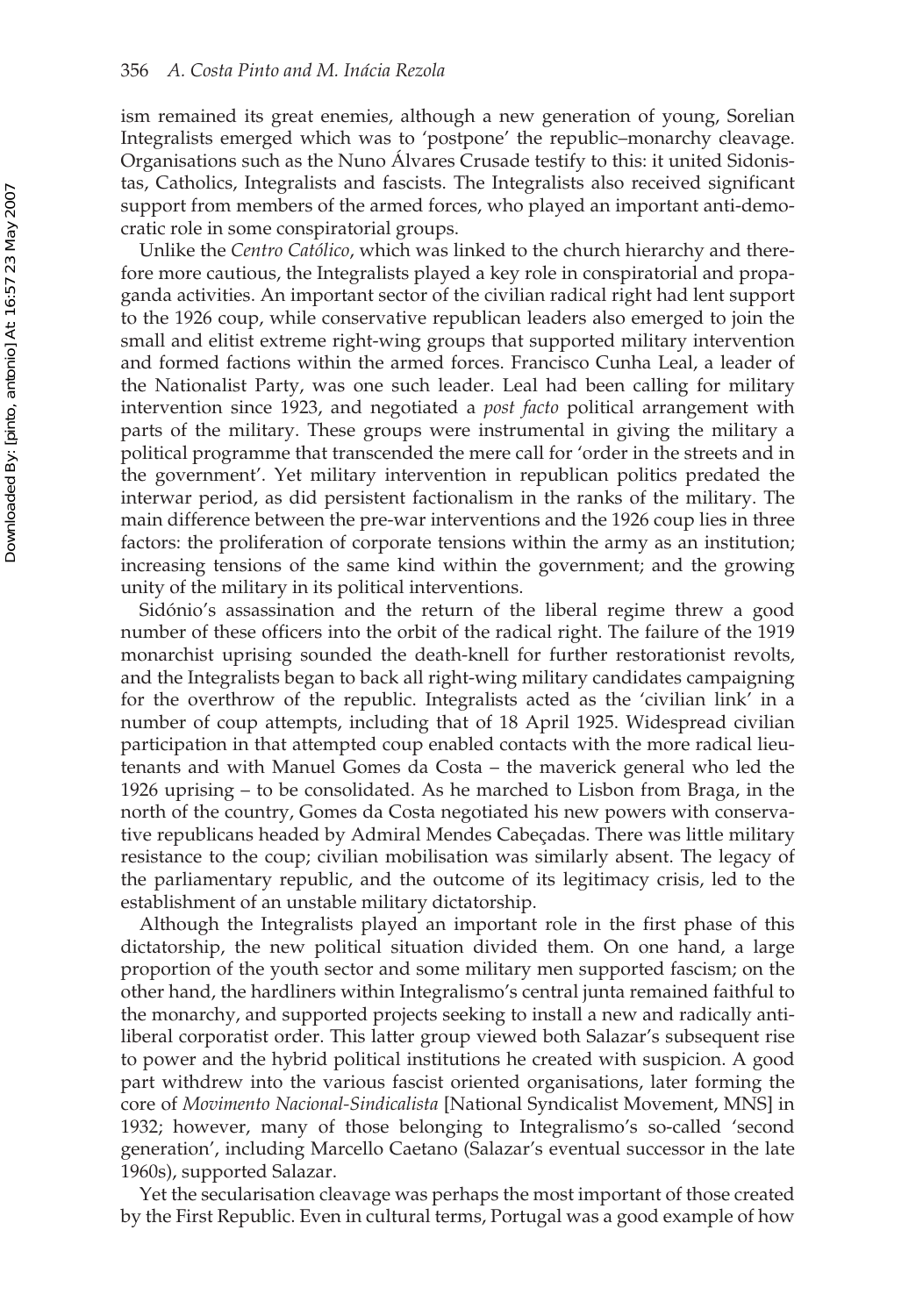ism remained its great enemies, although a new generation of young, Sorelian Integralists emerged which was to 'postpone' the republic–monarchy cleavage. Organisations such as the Nuno Álvares Crusade testify to this: it united Sidonistas, Catholics, Integralists and fascists. The Integralists also received significant support from members of the armed forces, who played an important anti-democratic role in some conspiratorial groups.

Unlike the *Centro Católico*, which was linked to the church hierarchy and therefore more cautious, the Integralists played a key role in conspiratorial and propaganda activities. An important sector of the civilian radical right had lent support to the 1926 coup, while conservative republican leaders also emerged to join the small and elitist extreme right-wing groups that supported military intervention and formed factions within the armed forces. Francisco Cunha Leal, a leader of the Nationalist Party, was one such leader. Leal had been calling for military intervention since 1923, and negotiated a *post facto* political arrangement with parts of the military. These groups were instrumental in giving the military a political programme that transcended the mere call for 'order in the streets and in the government'. Yet military intervention in republican politics predated the interwar period, as did persistent factionalism in the ranks of the military. The main difference between the pre-war interventions and the 1926 coup lies in three factors: the proliferation of corporate tensions within the army as an institution; increasing tensions of the same kind within the government; and the growing unity of the military in its political interventions.

Sidónio's assassination and the return of the liberal regime threw a good number of these officers into the orbit of the radical right. The failure of the 1919 monarchist uprising sounded the death-knell for further restorationist revolts, and the Integralists began to back all right-wing military candidates campaigning for the overthrow of the republic. Integralists acted as the 'civilian link' in a number of coup attempts, including that of 18 April 1925. Widespread civilian participation in that attempted coup enabled contacts with the more radical lieutenants and with Manuel Gomes da Costa – the maverick general who led the 1926 uprising – to be consolidated. As he marched to Lisbon from Braga, in the north of the country, Gomes da Costa negotiated his new powers with conservative republicans headed by Admiral Mendes Cabeçadas. There was little military resistance to the coup; civilian mobilisation was similarly absent. The legacy of the parliamentary republic, and the outcome of its legitimacy crisis, led to the establishment of an unstable military dictatorship.

Although the Integralists played an important role in the first phase of this dictatorship, the new political situation divided them. On one hand, a large proportion of the youth sector and some military men supported fascism; on the other hand, the hardliners within Integralismo's central junta remained faithful to the monarchy, and supported projects seeking to install a new and radically antiliberal corporatist order. This latter group viewed both Salazar's subsequent rise to power and the hybrid political institutions he created with suspicion. A good part withdrew into the various fascist oriented organisations, later forming the core of *Movimento Nacional-Sindicalista* [National Syndicalist Movement, MNS] in 1932; however, many of those belonging to Integralismo's so-called 'second generation', including Marcello Caetano (Salazar's eventual successor in the late 1960s), supported Salazar.

Yet the secularisation cleavage was perhaps the most important of those created by the First Republic. Even in cultural terms, Portugal was a good example of how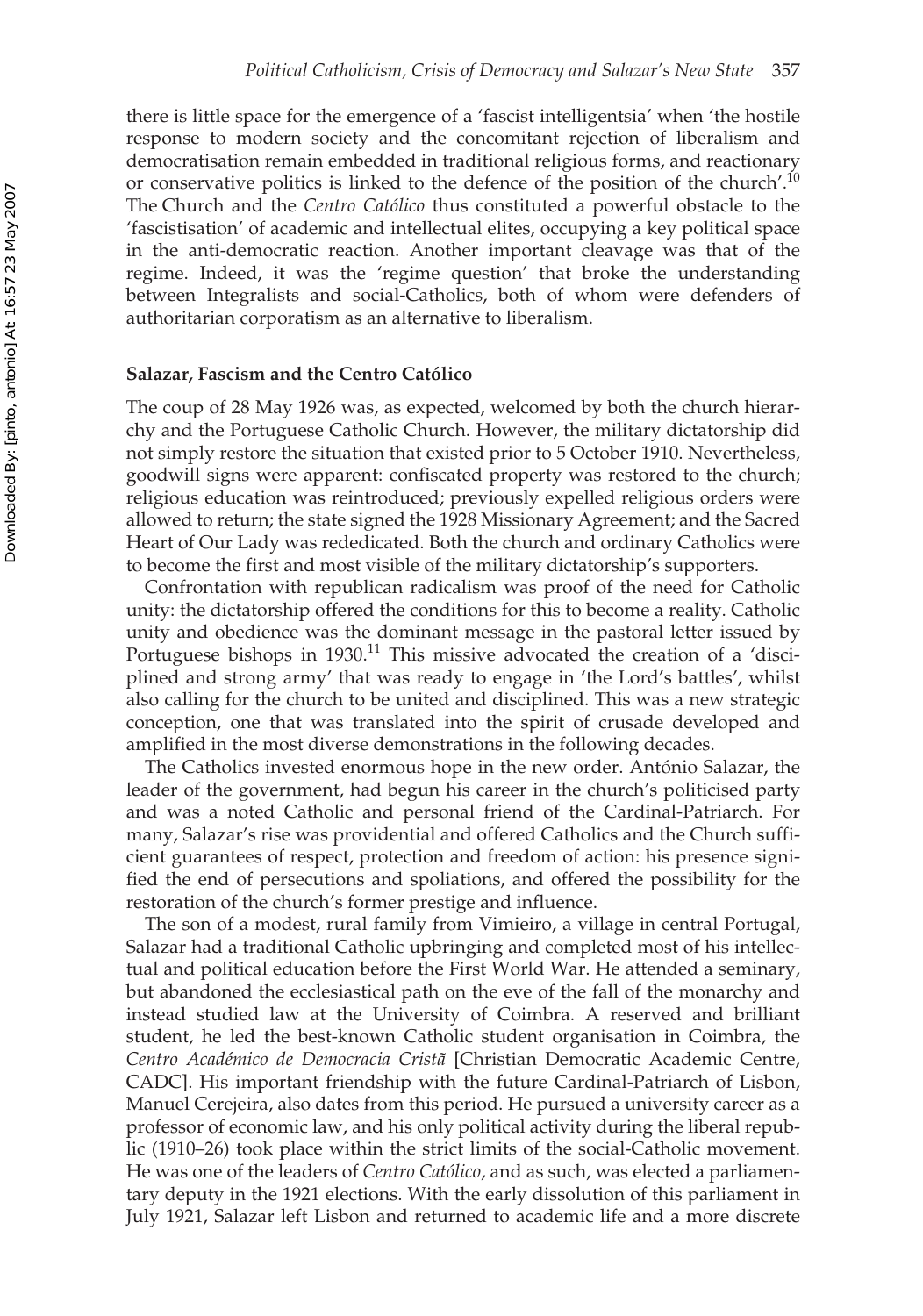there is little space for the emergence of a 'fascist intelligentsia' when 'the hostile response to modern society and the concomitant rejection of liberalism and democratisation remain embedded in traditional religious forms, and reactionary or conservative politics is linked to the defence of the position of the church'.<sup>10</sup> The Church and the *Centro Católico* thus constituted a powerful obstacle to the 'fascistisation' of academic and intellectual elites, occupying a key political space in the anti-democratic reaction. Another important cleavage was that of the regime. Indeed, it was the 'regime question' that broke the understanding between Integralists and social-Catholics, both of whom were defenders of authoritarian corporatism as an alternative to liberalism.

#### **Salazar, Fascism and the Centro Católico**

The coup of 28 May 1926 was, as expected, welcomed by both the church hierarchy and the Portuguese Catholic Church. However, the military dictatorship did not simply restore the situation that existed prior to 5 October 1910. Nevertheless, goodwill signs were apparent: confiscated property was restored to the church; religious education was reintroduced; previously expelled religious orders were allowed to return; the state signed the 1928 Missionary Agreement; and the Sacred Heart of Our Lady was rededicated. Both the church and ordinary Catholics were to become the first and most visible of the military dictatorship's supporters.

Confrontation with republican radicalism was proof of the need for Catholic unity: the dictatorship offered the conditions for this to become a reality. Catholic unity and obedience was the dominant message in the pastoral letter issued by Portuguese bishops in  $1930$ .<sup>11</sup> This missive advocated the creation of a 'disciplined and strong army' that was ready to engage in 'the Lord's battles', whilst also calling for the church to be united and disciplined. This was a new strategic conception, one that was translated into the spirit of crusade developed and amplified in the most diverse demonstrations in the following decades.

The Catholics invested enormous hope in the new order. António Salazar, the leader of the government, had begun his career in the church's politicised party and was a noted Catholic and personal friend of the Cardinal-Patriarch. For many, Salazar's rise was providential and offered Catholics and the Church sufficient guarantees of respect, protection and freedom of action: his presence signified the end of persecutions and spoliations, and offered the possibility for the restoration of the church's former prestige and influence.

The son of a modest, rural family from Vimieiro, a village in central Portugal, Salazar had a traditional Catholic upbringing and completed most of his intellectual and political education before the First World War. He attended a seminary, but abandoned the ecclesiastical path on the eve of the fall of the monarchy and instead studied law at the University of Coimbra. A reserved and brilliant student, he led the best-known Catholic student organisation in Coimbra, the *Centro Académico de Democracia Cristã* [Christian Democratic Academic Centre, CADC]. His important friendship with the future Cardinal-Patriarch of Lisbon, Manuel Cerejeira, also dates from this period. He pursued a university career as a professor of economic law, and his only political activity during the liberal republic (1910–26) took place within the strict limits of the social-Catholic movement. He was one of the leaders of *Centro Católico*, and as such, was elected a parliamentary deputy in the 1921 elections. With the early dissolution of this parliament in July 1921, Salazar left Lisbon and returned to academic life and a more discrete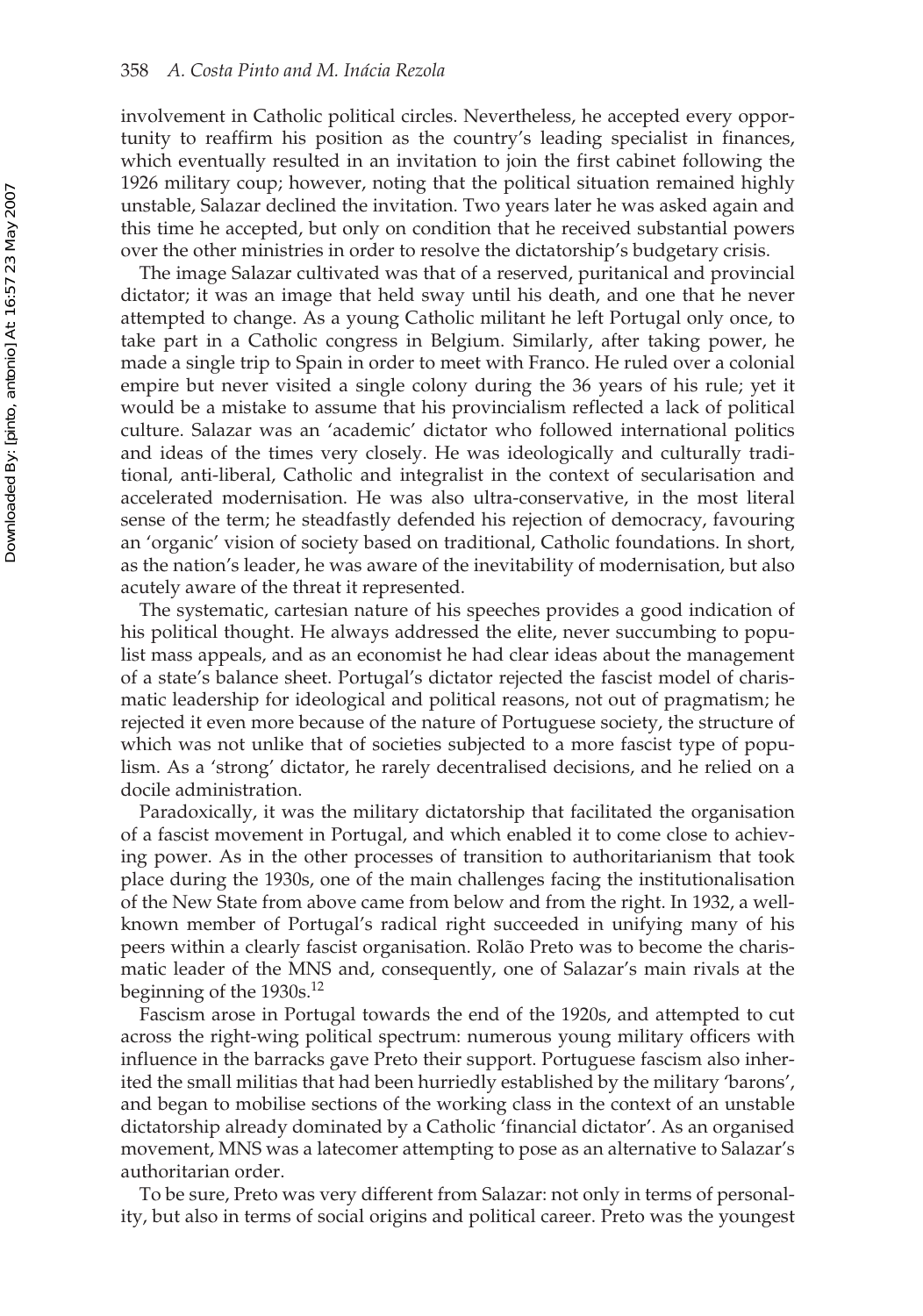involvement in Catholic political circles. Nevertheless, he accepted every opportunity to reaffirm his position as the country's leading specialist in finances, which eventually resulted in an invitation to join the first cabinet following the 1926 military coup; however, noting that the political situation remained highly unstable, Salazar declined the invitation. Two years later he was asked again and this time he accepted, but only on condition that he received substantial powers over the other ministries in order to resolve the dictatorship's budgetary crisis.

The image Salazar cultivated was that of a reserved, puritanical and provincial dictator; it was an image that held sway until his death, and one that he never attempted to change. As a young Catholic militant he left Portugal only once, to take part in a Catholic congress in Belgium. Similarly, after taking power, he made a single trip to Spain in order to meet with Franco. He ruled over a colonial empire but never visited a single colony during the 36 years of his rule; yet it would be a mistake to assume that his provincialism reflected a lack of political culture. Salazar was an 'academic' dictator who followed international politics and ideas of the times very closely. He was ideologically and culturally traditional, anti-liberal, Catholic and integralist in the context of secularisation and accelerated modernisation. He was also ultra-conservative, in the most literal sense of the term; he steadfastly defended his rejection of democracy, favouring an 'organic' vision of society based on traditional, Catholic foundations. In short, as the nation's leader, he was aware of the inevitability of modernisation, but also acutely aware of the threat it represented.

The systematic, cartesian nature of his speeches provides a good indication of his political thought. He always addressed the elite, never succumbing to populist mass appeals, and as an economist he had clear ideas about the management of a state's balance sheet. Portugal's dictator rejected the fascist model of charismatic leadership for ideological and political reasons, not out of pragmatism; he rejected it even more because of the nature of Portuguese society, the structure of which was not unlike that of societies subjected to a more fascist type of populism. As a 'strong' dictator, he rarely decentralised decisions, and he relied on a docile administration.

Paradoxically, it was the military dictatorship that facilitated the organisation of a fascist movement in Portugal, and which enabled it to come close to achieving power. As in the other processes of transition to authoritarianism that took place during the 1930s, one of the main challenges facing the institutionalisation of the New State from above came from below and from the right. In 1932, a wellknown member of Portugal's radical right succeeded in unifying many of his peers within a clearly fascist organisation. Rolão Preto was to become the charismatic leader of the MNS and, consequently, one of Salazar's main rivals at the beginning of the 1930s.<sup>12</sup>

Fascism arose in Portugal towards the end of the 1920s, and attempted to cut across the right-wing political spectrum: numerous young military officers with influence in the barracks gave Preto their support. Portuguese fascism also inherited the small militias that had been hurriedly established by the military 'barons', and began to mobilise sections of the working class in the context of an unstable dictatorship already dominated by a Catholic 'financial dictator'. As an organised movement, MNS was a latecomer attempting to pose as an alternative to Salazar's authoritarian order.

To be sure, Preto was very different from Salazar: not only in terms of personality, but also in terms of social origins and political career. Preto was the youngest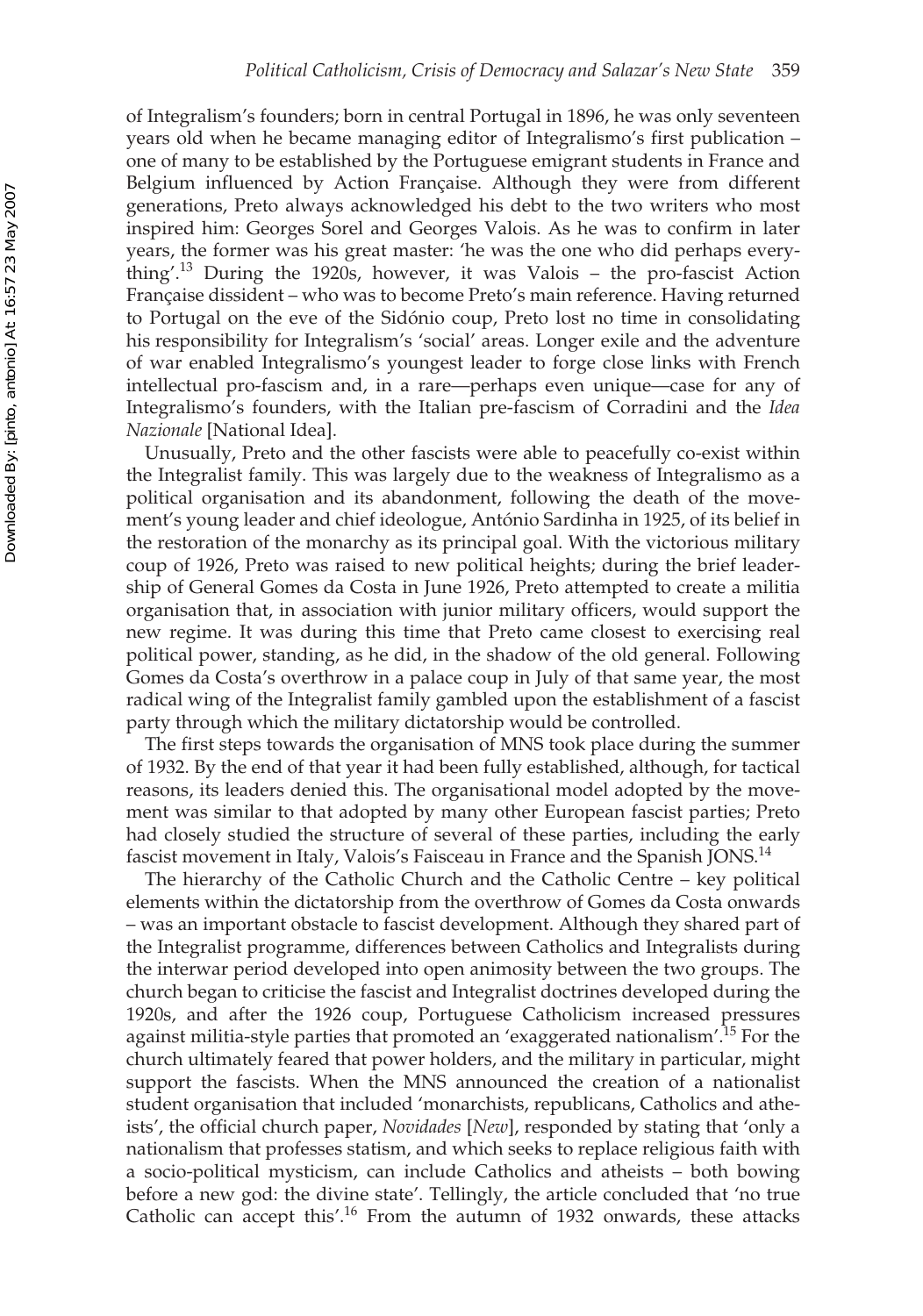of Integralism's founders; born in central Portugal in 1896, he was only seventeen years old when he became managing editor of Integralismo's first publication – one of many to be established by the Portuguese emigrant students in France and Belgium influenced by Action Française. Although they were from different generations, Preto always acknowledged his debt to the two writers who most inspired him: Georges Sorel and Georges Valois. As he was to confirm in later years, the former was his great master: 'he was the one who did perhaps everything'.<sup>13</sup> During the 1920s, however, it was Valois – the pro-fascist Action Française dissident – who was to become Preto's main reference. Having returned to Portugal on the eve of the Sidónio coup, Preto lost no time in consolidating his responsibility for Integralism's 'social' areas. Longer exile and the adventure of war enabled Integralismo's youngest leader to forge close links with French intellectual pro-fascism and, in a rare—perhaps even unique—case for any of Integralismo's founders, with the Italian pre-fascism of Corradini and the *Idea Nazionale* [National Idea].

Unusually, Preto and the other fascists were able to peacefully co-exist within the Integralist family. This was largely due to the weakness of Integralismo as a political organisation and its abandonment, following the death of the movement's young leader and chief ideologue, António Sardinha in 1925, of its belief in the restoration of the monarchy as its principal goal. With the victorious military coup of 1926, Preto was raised to new political heights; during the brief leadership of General Gomes da Costa in June 1926, Preto attempted to create a militia organisation that, in association with junior military officers, would support the new regime. It was during this time that Preto came closest to exercising real political power, standing, as he did, in the shadow of the old general. Following Gomes da Costa's overthrow in a palace coup in July of that same year, the most radical wing of the Integralist family gambled upon the establishment of a fascist party through which the military dictatorship would be controlled.

The first steps towards the organisation of MNS took place during the summer of 1932. By the end of that year it had been fully established, although, for tactical reasons, its leaders denied this. The organisational model adopted by the movement was similar to that adopted by many other European fascist parties; Preto had closely studied the structure of several of these parties, including the early fascist movement in Italy, Valois's Faisceau in France and the Spanish JONS.<sup>14</sup>

The hierarchy of the Catholic Church and the Catholic Centre – key political elements within the dictatorship from the overthrow of Gomes da Costa onwards – was an important obstacle to fascist development. Although they shared part of the Integralist programme, differences between Catholics and Integralists during the interwar period developed into open animosity between the two groups. The church began to criticise the fascist and Integralist doctrines developed during the 1920s, and after the 1926 coup, Portuguese Catholicism increased pressures against militia-style parties that promoted an 'exaggerated nationalism'.<sup>15</sup> For the church ultimately feared that power holders, and the military in particular, might support the fascists. When the MNS announced the creation of a nationalist student organisation that included 'monarchists, republicans, Catholics and atheists', the official church paper, *Novidades* [*New*], responded by stating that 'only a nationalism that professes statism, and which seeks to replace religious faith with a socio-political mysticism, can include Catholics and atheists – both bowing before a new god: the divine state'. Tellingly, the article concluded that 'no true Catholic can accept this'.<sup>16</sup> From the autumn of 1932 onwards, these attacks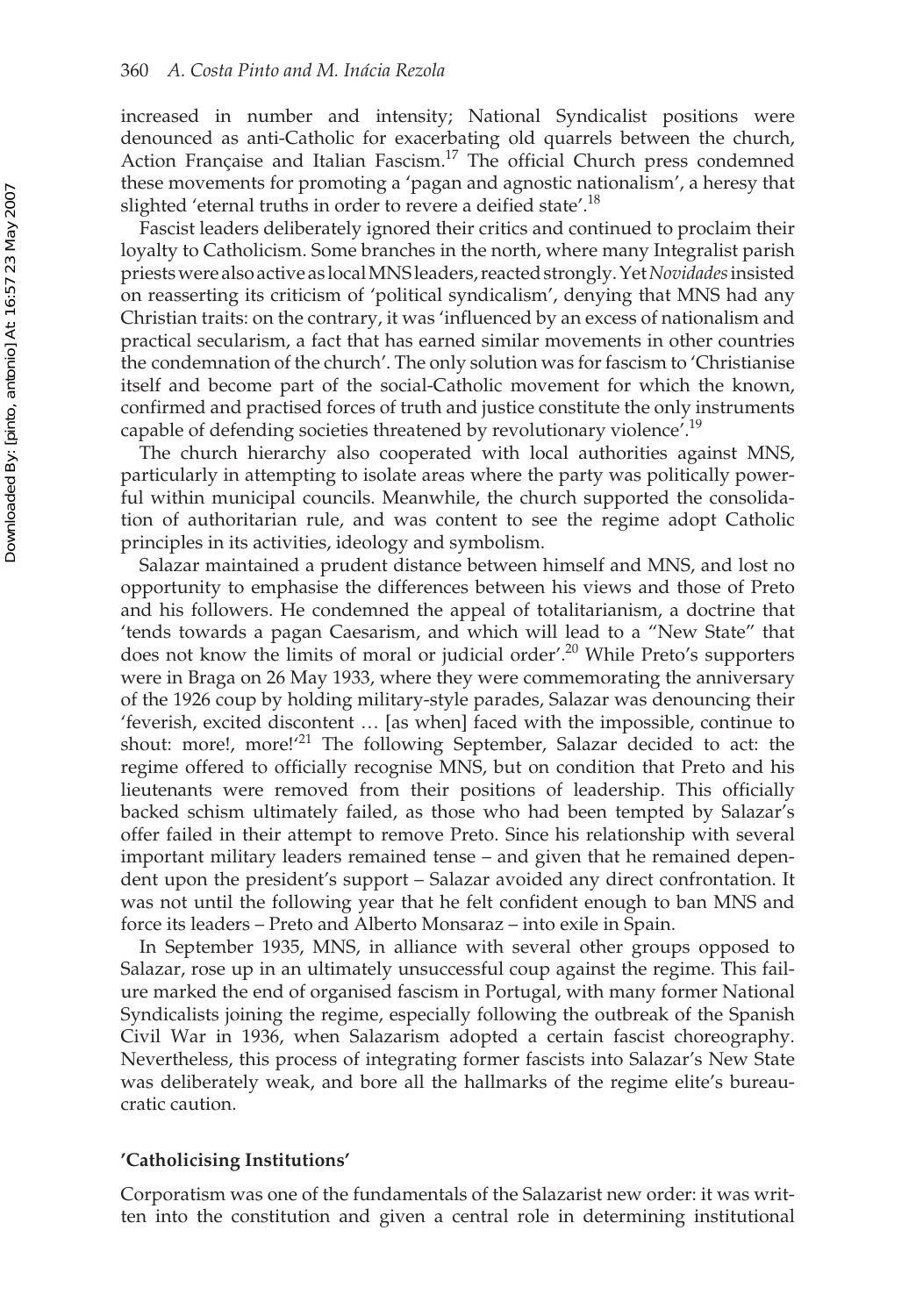increased in number and intensity; National Syndicalist positions were denounced as anti-Catholic for exacerbating old quarrels between the church, Action Française and Italian Fascism.<sup>17</sup> The official Church press condemned these movements for promoting a 'pagan and agnostic nationalism', a heresy that slighted 'eternal truths in order to revere a deified state'.<sup>18</sup>

Fascist leaders deliberately ignored their critics and continued to proclaim their loyalty to Catholicism. Some branches in the north, where many Integralist parish priests were also active as local MNS leaders, reacted strongly. Yet *Novidades*insisted on reasserting its criticism of 'political syndicalism', denying that MNS had any Christian traits: on the contrary, it was 'influenced by an excess of nationalism and practical secularism, a fact that has earned similar movements in other countries the condemnation of the church'. The only solution was for fascism to 'Christianise itself and become part of the social-Catholic movement for which the known, confirmed and practised forces of truth and justice constitute the only instruments capable of defending societies threatened by revolutionary violence'.19

The church hierarchy also cooperated with local authorities against MNS, particularly in attempting to isolate areas where the party was politically powerful within municipal councils. Meanwhile, the church supported the consolidation of authoritarian rule, and was content to see the regime adopt Catholic principles in its activities, ideology and symbolism.

Salazar maintained a prudent distance between himself and MNS, and lost no opportunity to emphasise the differences between his views and those of Preto and his followers. He condemned the appeal of totalitarianism, a doctrine that 'tends towards a pagan Caesarism, and which will lead to a "New State" that does not know the limits of moral or judicial order'.20 While Preto's supporters were in Braga on 26 May 1933, where they were commemorating the anniversary of the 1926 coup by holding military-style parades, Salazar was denouncing their 'feverish, excited discontent … [as when] faced with the impossible, continue to shout: more!, more!'<sup>21</sup> The following September, Salazar decided to act: the regime offered to officially recognise MNS, but on condition that Preto and his lieutenants were removed from their positions of leadership. This officially backed schism ultimately failed, as those who had been tempted by Salazar's offer failed in their attempt to remove Preto. Since his relationship with several important military leaders remained tense – and given that he remained dependent upon the president's support – Salazar avoided any direct confrontation. It was not until the following year that he felt confident enough to ban MNS and force its leaders – Preto and Alberto Monsaraz – into exile in Spain.

In September 1935, MNS, in alliance with several other groups opposed to Salazar, rose up in an ultimately unsuccessful coup against the regime. This failure marked the end of organised fascism in Portugal, with many former National Syndicalists joining the regime, especially following the outbreak of the Spanish Civil War in 1936, when Salazarism adopted a certain fascist choreography. Nevertheless, this process of integrating former fascists into Salazar's New State was deliberately weak, and bore all the hallmarks of the regime elite's bureaucratic caution.

#### **'Catholicising Institutions'**

Corporatism was one of the fundamentals of the Salazarist new order: it was written into the constitution and given a central role in determining institutional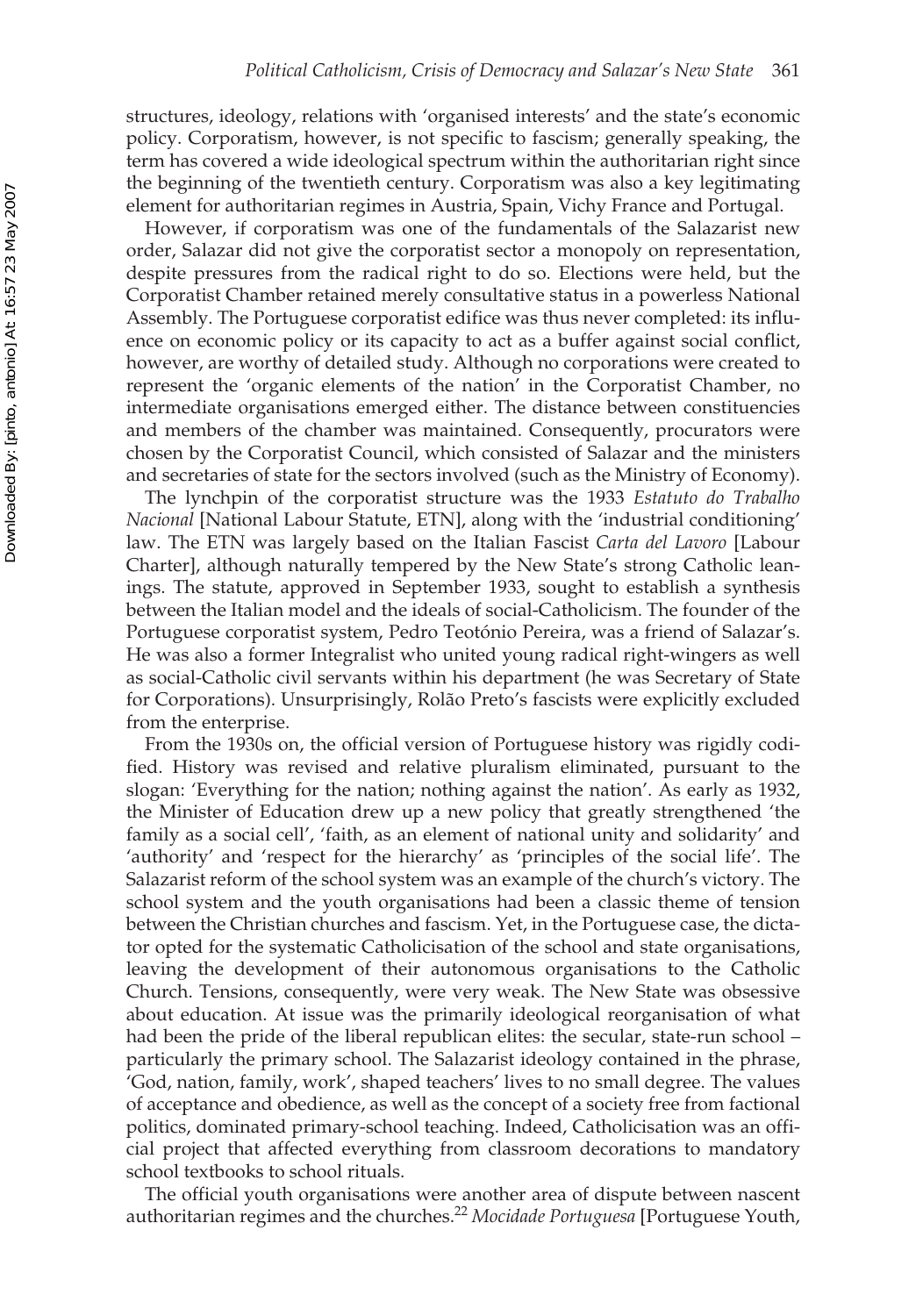structures, ideology, relations with 'organised interests' and the state's economic policy. Corporatism, however, is not specific to fascism; generally speaking, the term has covered a wide ideological spectrum within the authoritarian right since the beginning of the twentieth century. Corporatism was also a key legitimating element for authoritarian regimes in Austria, Spain, Vichy France and Portugal.

However, if corporatism was one of the fundamentals of the Salazarist new order, Salazar did not give the corporatist sector a monopoly on representation, despite pressures from the radical right to do so. Elections were held, but the Corporatist Chamber retained merely consultative status in a powerless National Assembly. The Portuguese corporatist edifice was thus never completed: its influence on economic policy or its capacity to act as a buffer against social conflict, however, are worthy of detailed study. Although no corporations were created to represent the 'organic elements of the nation' in the Corporatist Chamber, no intermediate organisations emerged either. The distance between constituencies and members of the chamber was maintained. Consequently, procurators were chosen by the Corporatist Council, which consisted of Salazar and the ministers and secretaries of state for the sectors involved (such as the Ministry of Economy).

The lynchpin of the corporatist structure was the 1933 *Estatuto do Trabalho Nacional* [National Labour Statute, ETN], along with the 'industrial conditioning' law. The ETN was largely based on the Italian Fascist *Carta del Lavoro* [Labour Charter], although naturally tempered by the New State's strong Catholic leanings. The statute, approved in September 1933, sought to establish a synthesis between the Italian model and the ideals of social-Catholicism. The founder of the Portuguese corporatist system, Pedro Teotónio Pereira, was a friend of Salazar's. He was also a former Integralist who united young radical right-wingers as well as social-Catholic civil servants within his department (he was Secretary of State for Corporations). Unsurprisingly, Rolão Preto's fascists were explicitly excluded from the enterprise.

From the 1930s on, the official version of Portuguese history was rigidly codified. History was revised and relative pluralism eliminated, pursuant to the slogan: 'Everything for the nation; nothing against the nation'. As early as 1932, the Minister of Education drew up a new policy that greatly strengthened 'the family as a social cell', 'faith, as an element of national unity and solidarity' and 'authority' and 'respect for the hierarchy' as 'principles of the social life'. The Salazarist reform of the school system was an example of the church's victory. The school system and the youth organisations had been a classic theme of tension between the Christian churches and fascism. Yet, in the Portuguese case, the dictator opted for the systematic Catholicisation of the school and state organisations, leaving the development of their autonomous organisations to the Catholic Church. Tensions, consequently, were very weak. The New State was obsessive about education. At issue was the primarily ideological reorganisation of what had been the pride of the liberal republican elites: the secular, state-run school – particularly the primary school. The Salazarist ideology contained in the phrase, 'God, nation, family, work', shaped teachers' lives to no small degree. The values of acceptance and obedience, as well as the concept of a society free from factional politics, dominated primary-school teaching. Indeed, Catholicisation was an official project that affected everything from classroom decorations to mandatory school textbooks to school rituals.

The official youth organisations were another area of dispute between nascent authoritarian regimes and the churches.22 *Mocidade Portuguesa* [Portuguese Youth,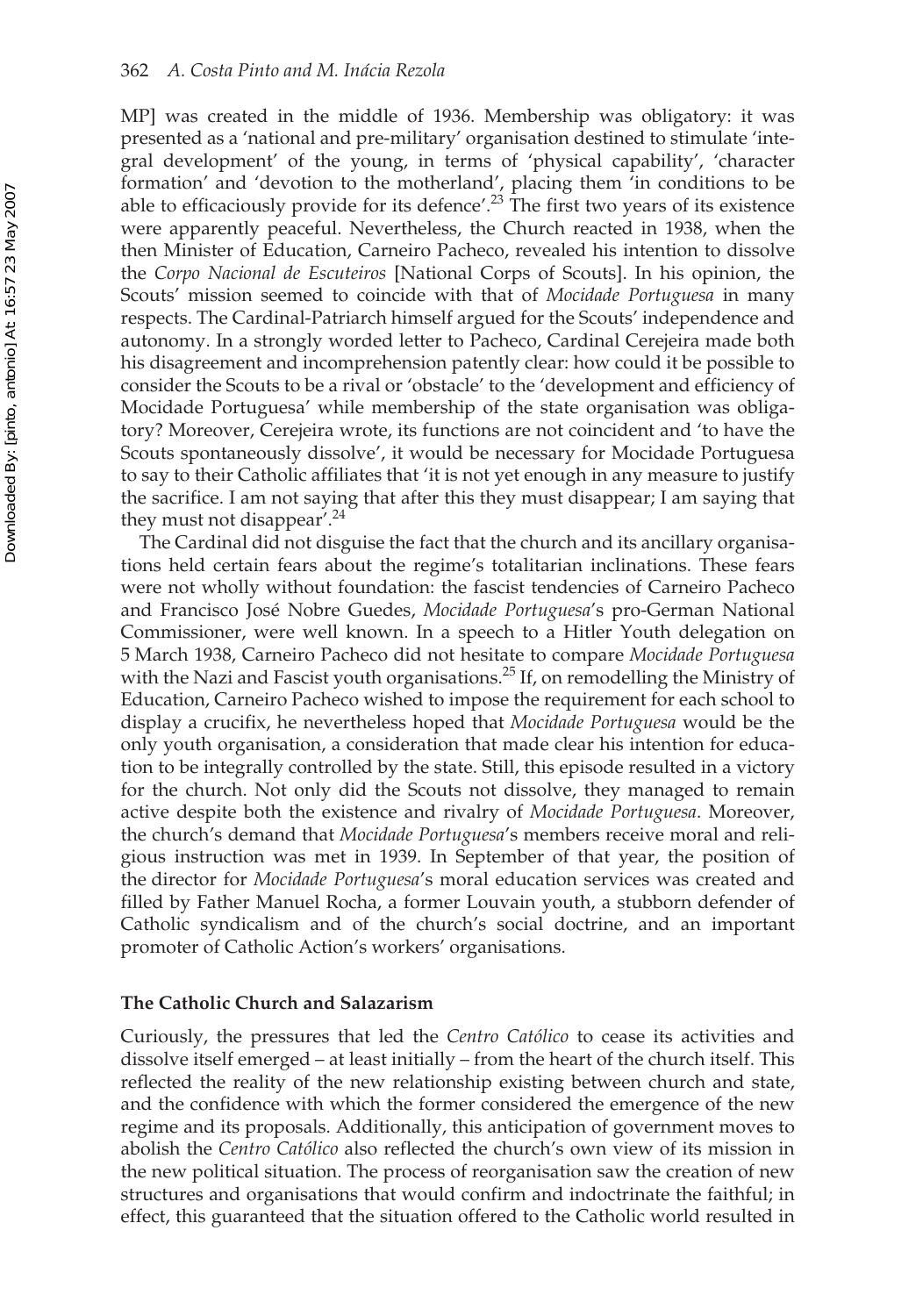MP] was created in the middle of 1936. Membership was obligatory: it was presented as a 'national and pre-military' organisation destined to stimulate 'integral development' of the young, in terms of 'physical capability', 'character formation' and 'devotion to the motherland', placing them 'in conditions to be able to efficaciously provide for its defence'.<sup>23</sup> The first two years of its existence were apparently peaceful. Nevertheless, the Church reacted in 1938, when the then Minister of Education, Carneiro Pacheco, revealed his intention to dissolve the *Corpo Nacional de Escuteiros* [National Corps of Scouts]. In his opinion, the Scouts' mission seemed to coincide with that of *Mocidade Portuguesa* in many respects. The Cardinal-Patriarch himself argued for the Scouts' independence and autonomy. In a strongly worded letter to Pacheco, Cardinal Cerejeira made both his disagreement and incomprehension patently clear: how could it be possible to consider the Scouts to be a rival or 'obstacle' to the 'development and efficiency of Mocidade Portuguesa' while membership of the state organisation was obligatory? Moreover, Cerejeira wrote, its functions are not coincident and 'to have the Scouts spontaneously dissolve', it would be necessary for Mocidade Portuguesa to say to their Catholic affiliates that 'it is not yet enough in any measure to justify the sacrifice. I am not saying that after this they must disappear; I am saying that they must not disappear'.<sup>24</sup>

The Cardinal did not disguise the fact that the church and its ancillary organisations held certain fears about the regime's totalitarian inclinations. These fears were not wholly without foundation: the fascist tendencies of Carneiro Pacheco and Francisco José Nobre Guedes, *Mocidade Portuguesa*'s pro-German National Commissioner, were well known. In a speech to a Hitler Youth delegation on 5 March 1938, Carneiro Pacheco did not hesitate to compare *Mocidade Portuguesa* with the Nazi and Fascist youth organisations.<sup>25</sup> If, on remodelling the Ministry of Education, Carneiro Pacheco wished to impose the requirement for each school to display a crucifix, he nevertheless hoped that *Mocidade Portuguesa* would be the only youth organisation, a consideration that made clear his intention for education to be integrally controlled by the state. Still, this episode resulted in a victory for the church. Not only did the Scouts not dissolve, they managed to remain active despite both the existence and rivalry of *Mocidade Portuguesa*. Moreover, the church's demand that *Mocidade Portuguesa*'s members receive moral and religious instruction was met in 1939. In September of that year, the position of the director for *Mocidade Portuguesa*'s moral education services was created and filled by Father Manuel Rocha, a former Louvain youth, a stubborn defender of Catholic syndicalism and of the church's social doctrine, and an important promoter of Catholic Action's workers' organisations.

#### **The Catholic Church and Salazarism**

Curiously, the pressures that led the *Centro Católico* to cease its activities and dissolve itself emerged – at least initially – from the heart of the church itself. This reflected the reality of the new relationship existing between church and state, and the confidence with which the former considered the emergence of the new regime and its proposals. Additionally, this anticipation of government moves to abolish the *Centro Católico* also reflected the church's own view of its mission in the new political situation. The process of reorganisation saw the creation of new structures and organisations that would confirm and indoctrinate the faithful; in effect, this guaranteed that the situation offered to the Catholic world resulted in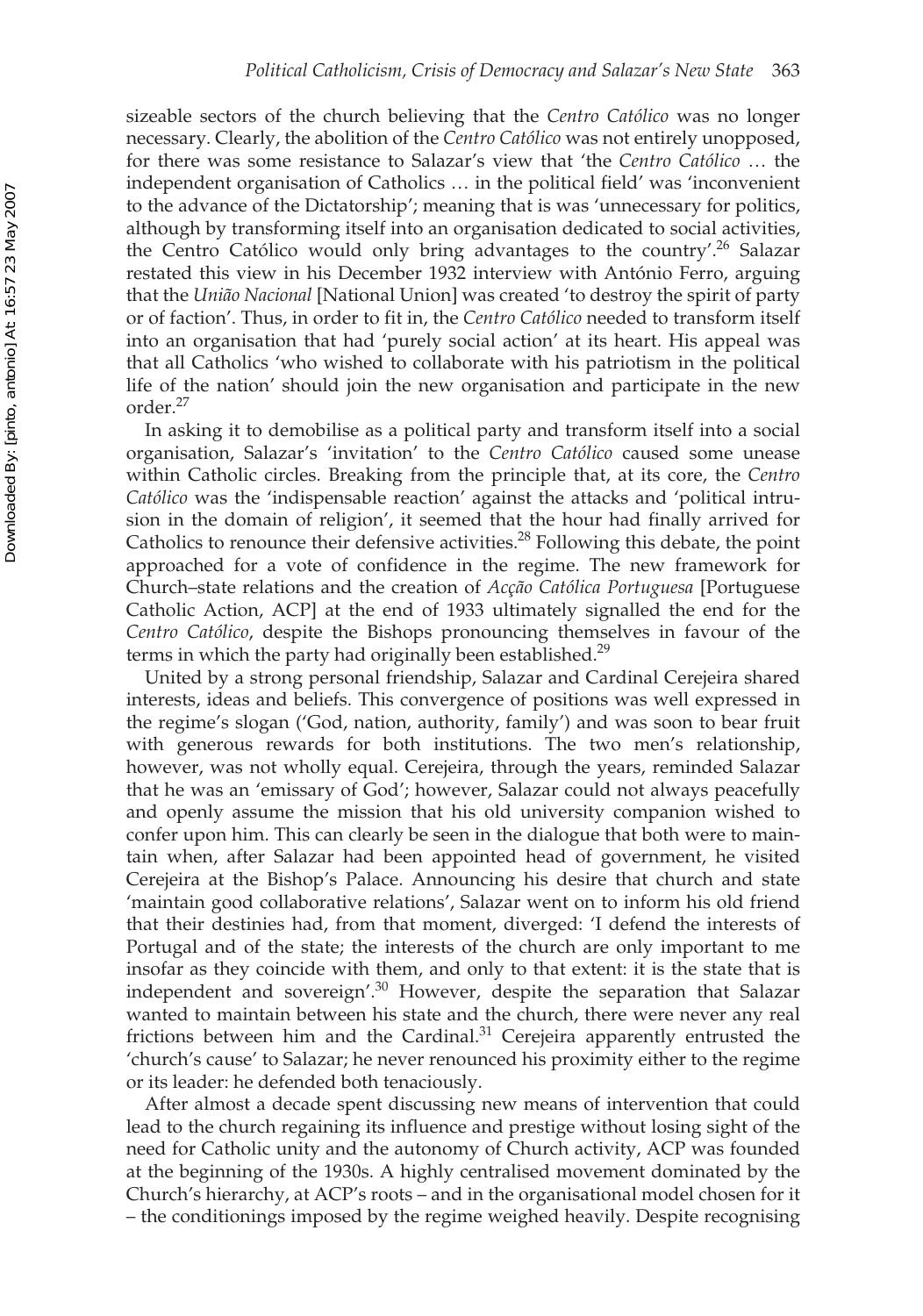sizeable sectors of the church believing that the *Centro Católico* was no longer necessary. Clearly, the abolition of the *Centro Católico* was not entirely unopposed, for there was some resistance to Salazar's view that 'the *Centro Católico* … the independent organisation of Catholics … in the political field' was 'inconvenient to the advance of the Dictatorship'; meaning that is was 'unnecessary for politics, although by transforming itself into an organisation dedicated to social activities, the Centro Católico would only bring advantages to the country'.<sup>26</sup> Salazar restated this view in his December 1932 interview with António Ferro, arguing that the *União Nacional* [National Union] was created 'to destroy the spirit of party or of faction'. Thus, in order to fit in, the *Centro Católico* needed to transform itself into an organisation that had 'purely social action' at its heart. His appeal was that all Catholics 'who wished to collaborate with his patriotism in the political life of the nation' should join the new organisation and participate in the new order.27

In asking it to demobilise as a political party and transform itself into a social organisation, Salazar's 'invitation' to the *Centro Católico* caused some unease within Catholic circles. Breaking from the principle that, at its core, the *Centro Católico* was the 'indispensable reaction' against the attacks and 'political intrusion in the domain of religion', it seemed that the hour had finally arrived for Catholics to renounce their defensive activities.<sup>28</sup> Following this debate, the point approached for a vote of confidence in the regime. The new framework for Church–state relations and the creation of *Acção Católica Portuguesa* [Portuguese Catholic Action, ACP] at the end of 1933 ultimately signalled the end for the *Centro Católico*, despite the Bishops pronouncing themselves in favour of the terms in which the party had originally been established.<sup>29</sup>

United by a strong personal friendship, Salazar and Cardinal Cerejeira shared interests, ideas and beliefs. This convergence of positions was well expressed in the regime's slogan ('God, nation, authority, family') and was soon to bear fruit with generous rewards for both institutions. The two men's relationship, however, was not wholly equal. Cerejeira, through the years, reminded Salazar that he was an 'emissary of God'; however, Salazar could not always peacefully and openly assume the mission that his old university companion wished to confer upon him. This can clearly be seen in the dialogue that both were to maintain when, after Salazar had been appointed head of government, he visited Cerejeira at the Bishop's Palace. Announcing his desire that church and state 'maintain good collaborative relations', Salazar went on to inform his old friend that their destinies had, from that moment, diverged: 'I defend the interests of Portugal and of the state; the interests of the church are only important to me insofar as they coincide with them, and only to that extent: it is the state that is independent and sovereign'.30 However, despite the separation that Salazar wanted to maintain between his state and the church, there were never any real frictions between him and the Cardinal. $31$  Cerejeira apparently entrusted the 'church's cause' to Salazar; he never renounced his proximity either to the regime or its leader: he defended both tenaciously.

After almost a decade spent discussing new means of intervention that could lead to the church regaining its influence and prestige without losing sight of the need for Catholic unity and the autonomy of Church activity, ACP was founded at the beginning of the 1930s. A highly centralised movement dominated by the Church's hierarchy, at ACP's roots – and in the organisational model chosen for it – the conditionings imposed by the regime weighed heavily. Despite recognising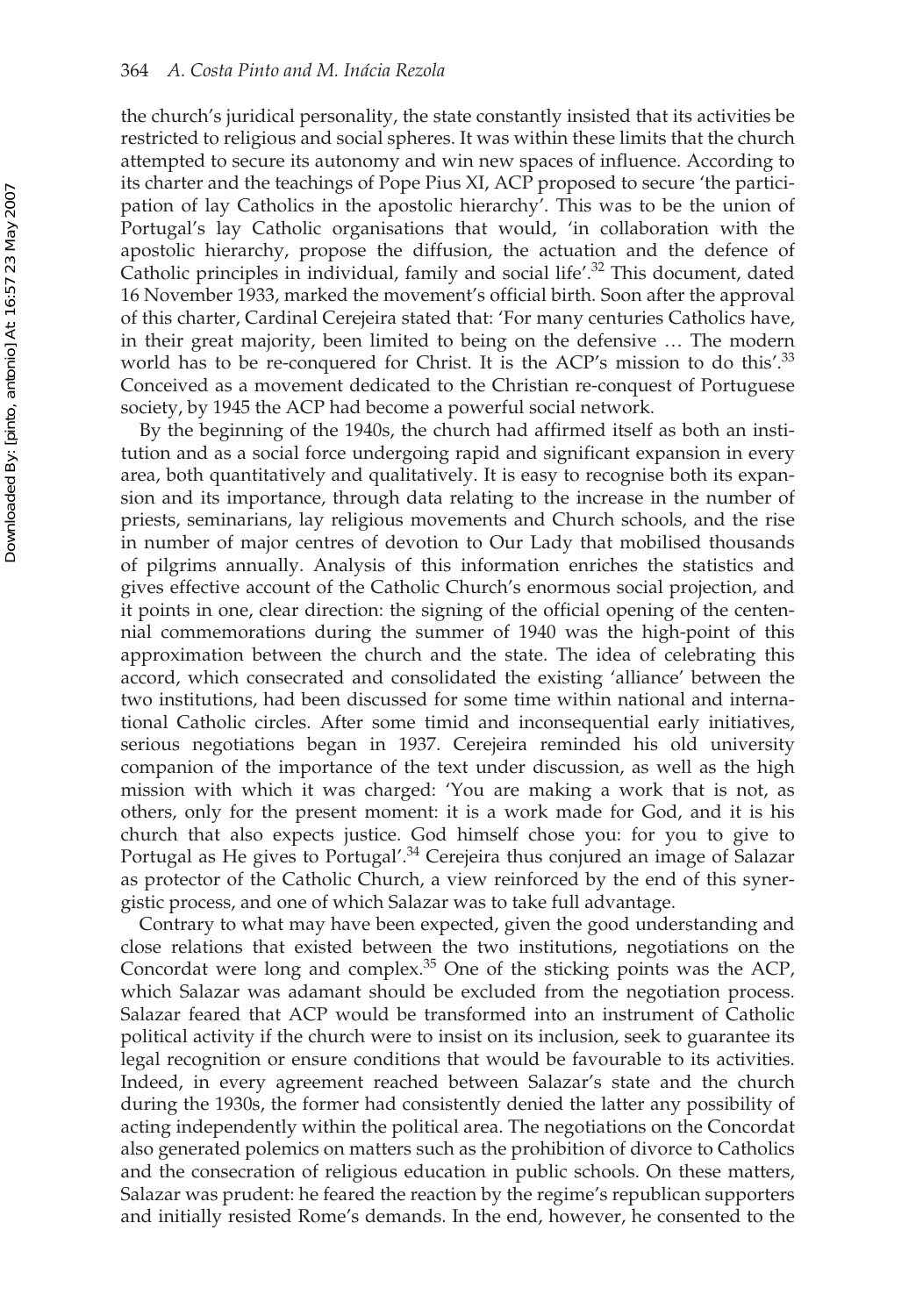the church's juridical personality, the state constantly insisted that its activities be restricted to religious and social spheres. It was within these limits that the church attempted to secure its autonomy and win new spaces of influence. According to its charter and the teachings of Pope Pius XI, ACP proposed to secure 'the participation of lay Catholics in the apostolic hierarchy'. This was to be the union of Portugal's lay Catholic organisations that would, 'in collaboration with the apostolic hierarchy, propose the diffusion, the actuation and the defence of Catholic principles in individual, family and social life'.<sup>32</sup> This document, dated 16 November 1933, marked the movement's official birth. Soon after the approval of this charter, Cardinal Cerejeira stated that: 'For many centuries Catholics have, in their great majority, been limited to being on the defensive … The modern world has to be re-conquered for Christ. It is the ACP's mission to do this'.<sup>33</sup> Conceived as a movement dedicated to the Christian re-conquest of Portuguese society, by 1945 the ACP had become a powerful social network.

By the beginning of the 1940s, the church had affirmed itself as both an institution and as a social force undergoing rapid and significant expansion in every area, both quantitatively and qualitatively. It is easy to recognise both its expansion and its importance, through data relating to the increase in the number of priests, seminarians, lay religious movements and Church schools, and the rise in number of major centres of devotion to Our Lady that mobilised thousands of pilgrims annually. Analysis of this information enriches the statistics and gives effective account of the Catholic Church's enormous social projection, and it points in one, clear direction: the signing of the official opening of the centennial commemorations during the summer of 1940 was the high-point of this approximation between the church and the state. The idea of celebrating this accord, which consecrated and consolidated the existing 'alliance' between the two institutions, had been discussed for some time within national and international Catholic circles. After some timid and inconsequential early initiatives, serious negotiations began in 1937. Cerejeira reminded his old university companion of the importance of the text under discussion, as well as the high mission with which it was charged: 'You are making a work that is not, as others, only for the present moment: it is a work made for God, and it is his church that also expects justice. God himself chose you: for you to give to Portugal as He gives to Portugal'.<sup>34</sup> Cerejeira thus conjured an image of Salazar as protector of the Catholic Church, a view reinforced by the end of this synergistic process, and one of which Salazar was to take full advantage.

Contrary to what may have been expected, given the good understanding and close relations that existed between the two institutions, negotiations on the Concordat were long and complex.35 One of the sticking points was the ACP, which Salazar was adamant should be excluded from the negotiation process. Salazar feared that ACP would be transformed into an instrument of Catholic political activity if the church were to insist on its inclusion, seek to guarantee its legal recognition or ensure conditions that would be favourable to its activities. Indeed, in every agreement reached between Salazar's state and the church during the 1930s, the former had consistently denied the latter any possibility of acting independently within the political area. The negotiations on the Concordat also generated polemics on matters such as the prohibition of divorce to Catholics and the consecration of religious education in public schools. On these matters, Salazar was prudent: he feared the reaction by the regime's republican supporters and initially resisted Rome's demands. In the end, however, he consented to the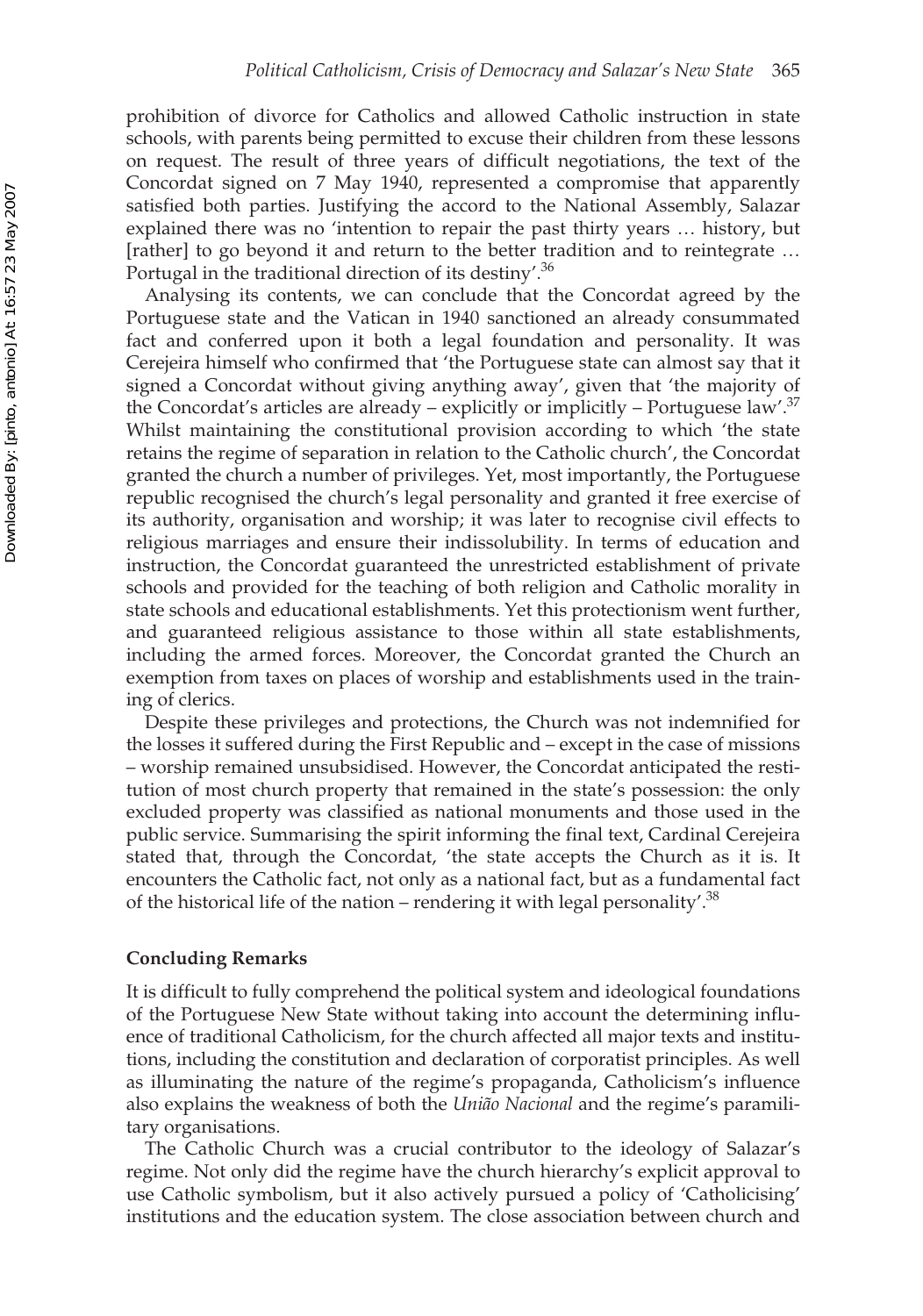prohibition of divorce for Catholics and allowed Catholic instruction in state schools, with parents being permitted to excuse their children from these lessons on request. The result of three years of difficult negotiations, the text of the Concordat signed on 7 May 1940, represented a compromise that apparently satisfied both parties. Justifying the accord to the National Assembly, Salazar explained there was no 'intention to repair the past thirty years … history, but [rather] to go beyond it and return to the better tradition and to reintegrate … Portugal in the traditional direction of its destiny'.<sup>36</sup>

Analysing its contents, we can conclude that the Concordat agreed by the Portuguese state and the Vatican in 1940 sanctioned an already consummated fact and conferred upon it both a legal foundation and personality. It was Cerejeira himself who confirmed that 'the Portuguese state can almost say that it signed a Concordat without giving anything away', given that 'the majority of the Concordat's articles are already – explicitly or implicitly – Portuguese law'.<sup>37</sup> Whilst maintaining the constitutional provision according to which 'the state retains the regime of separation in relation to the Catholic church', the Concordat granted the church a number of privileges. Yet, most importantly, the Portuguese republic recognised the church's legal personality and granted it free exercise of its authority, organisation and worship; it was later to recognise civil effects to religious marriages and ensure their indissolubility. In terms of education and instruction, the Concordat guaranteed the unrestricted establishment of private schools and provided for the teaching of both religion and Catholic morality in state schools and educational establishments. Yet this protectionism went further, and guaranteed religious assistance to those within all state establishments, including the armed forces. Moreover, the Concordat granted the Church an exemption from taxes on places of worship and establishments used in the training of clerics.

Despite these privileges and protections, the Church was not indemnified for the losses it suffered during the First Republic and – except in the case of missions – worship remained unsubsidised. However, the Concordat anticipated the restitution of most church property that remained in the state's possession: the only excluded property was classified as national monuments and those used in the public service. Summarising the spirit informing the final text, Cardinal Cerejeira stated that, through the Concordat, 'the state accepts the Church as it is. It encounters the Catholic fact, not only as a national fact, but as a fundamental fact of the historical life of the nation – rendering it with legal personality'.<sup>38</sup>

#### **Concluding Remarks**

It is difficult to fully comprehend the political system and ideological foundations of the Portuguese New State without taking into account the determining influence of traditional Catholicism, for the church affected all major texts and institutions, including the constitution and declaration of corporatist principles. As well as illuminating the nature of the regime's propaganda, Catholicism's influence also explains the weakness of both the *União Nacional* and the regime's paramilitary organisations.

The Catholic Church was a crucial contributor to the ideology of Salazar's regime. Not only did the regime have the church hierarchy's explicit approval to use Catholic symbolism, but it also actively pursued a policy of 'Catholicising' institutions and the education system. The close association between church and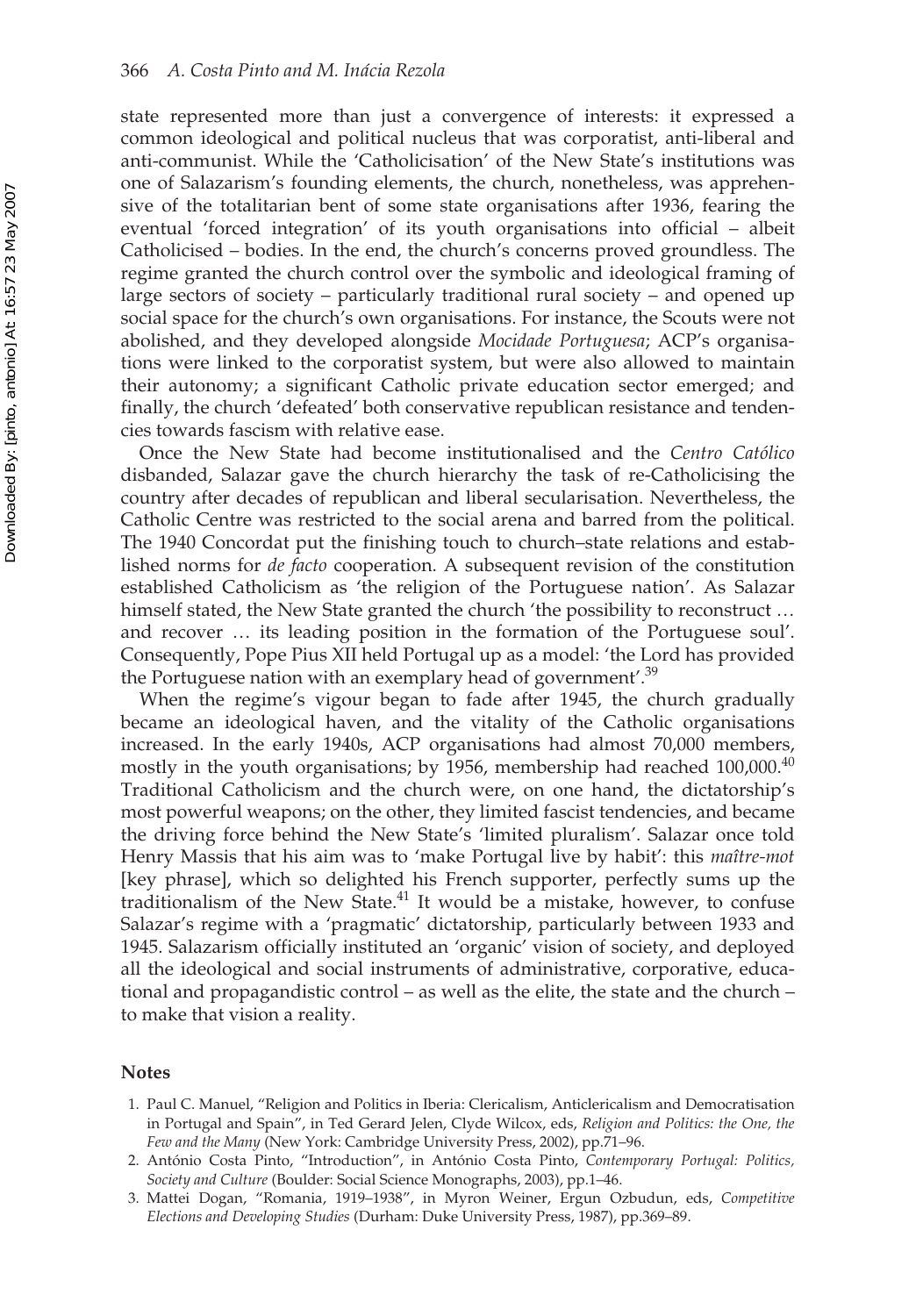state represented more than just a convergence of interests: it expressed a common ideological and political nucleus that was corporatist, anti-liberal and anti-communist. While the 'Catholicisation' of the New State's institutions was one of Salazarism's founding elements, the church, nonetheless, was apprehensive of the totalitarian bent of some state organisations after 1936, fearing the eventual 'forced integration' of its youth organisations into official – albeit Catholicised – bodies. In the end, the church's concerns proved groundless. The regime granted the church control over the symbolic and ideological framing of large sectors of society – particularly traditional rural society – and opened up social space for the church's own organisations. For instance, the Scouts were not abolished, and they developed alongside *Mocidade Portuguesa*; ACP's organisations were linked to the corporatist system, but were also allowed to maintain their autonomy; a significant Catholic private education sector emerged; and finally, the church 'defeated' both conservative republican resistance and tendencies towards fascism with relative ease.

Once the New State had become institutionalised and the *Centro Católico* disbanded, Salazar gave the church hierarchy the task of re-Catholicising the country after decades of republican and liberal secularisation. Nevertheless, the Catholic Centre was restricted to the social arena and barred from the political. The 1940 Concordat put the finishing touch to church–state relations and established norms for *de facto* cooperation. A subsequent revision of the constitution established Catholicism as 'the religion of the Portuguese nation'. As Salazar himself stated, the New State granted the church 'the possibility to reconstruct … and recover … its leading position in the formation of the Portuguese soul'. Consequently, Pope Pius XII held Portugal up as a model: 'the Lord has provided the Portuguese nation with an exemplary head of government'.<sup>39</sup>

When the regime's vigour began to fade after 1945, the church gradually became an ideological haven, and the vitality of the Catholic organisations increased. In the early 1940s, ACP organisations had almost 70,000 members, mostly in the youth organisations; by 1956, membership had reached 100,000.<sup>40</sup> Traditional Catholicism and the church were, on one hand, the dictatorship's most powerful weapons; on the other, they limited fascist tendencies, and became the driving force behind the New State's 'limited pluralism'. Salazar once told Henry Massis that his aim was to 'make Portugal live by habit': this *maître-mot* [key phrase], which so delighted his French supporter, perfectly sums up the traditionalism of the New State.<sup>41</sup> It would be a mistake, however, to confuse Salazar's regime with a 'pragmatic' dictatorship, particularly between 1933 and 1945. Salazarism officially instituted an 'organic' vision of society, and deployed all the ideological and social instruments of administrative, corporative, educational and propagandistic control – as well as the elite, the state and the church – to make that vision a reality.

#### **Notes**

- 1. Paul C. Manuel, "Religion and Politics in Iberia: Clericalism, Anticlericalism and Democratisation in Portugal and Spain", in Ted Gerard Jelen, Clyde Wilcox, eds, *Religion and Politics: the One, the Few and the Many* (New York: Cambridge University Press, 2002), pp.71–96.
- 2. António Costa Pinto, "Introduction", in António Costa Pinto, *Contemporary Portugal: Politics, Society and Culture* (Boulder: Social Science Monographs, 2003), pp.1–46.
- 3. Mattei Dogan, "Romania, 1919–1938", in Myron Weiner, Ergun Ozbudun, eds, *Competitive Elections and Developing Studies* (Durham: Duke University Press, 1987), pp.369–89.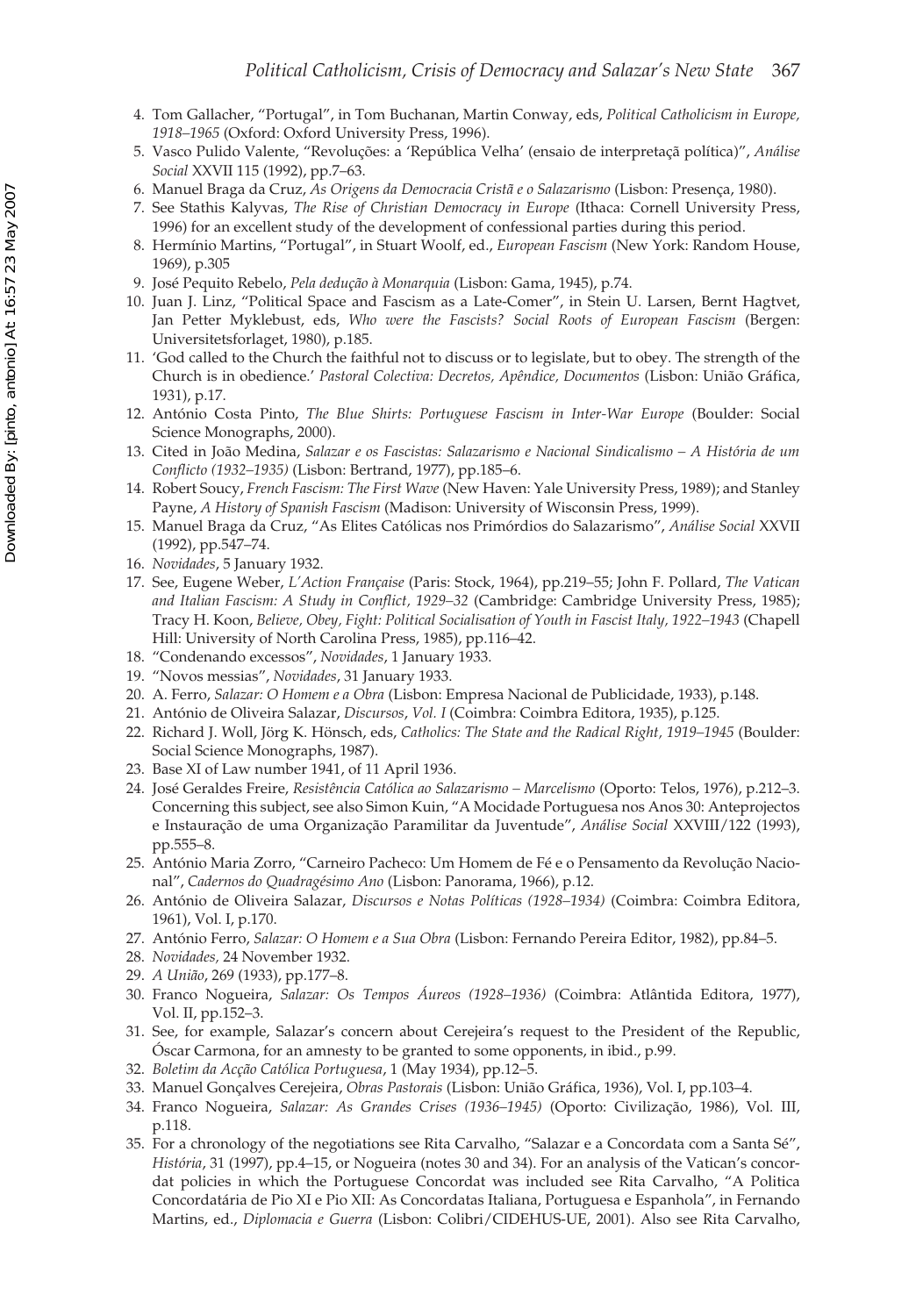- 4. Tom Gallacher, "Portugal", in Tom Buchanan, Martin Conway, eds, *Political Catholicism in Europe, 1918–1965* (Oxford: Oxford University Press, 1996).
- 5. Vasco Pulido Valente, "Revoluções: a 'República Velha' (ensaio de interpretaçã política)", *Análise Social* XXVII 115 (1992), pp.7–63.
- 6. Manuel Braga da Cruz, *As Origens da Democracia Cristã e o Salazarismo* (Lisbon: Presença, 1980).
- 7. See Stathis Kalyvas, *The Rise of Christian Democracy in Europe* (Ithaca: Cornell University Press, 1996) for an excellent study of the development of confessional parties during this period.
- 8. Hermínio Martins, "Portugal", in Stuart Woolf, ed., *European Fascism* (New York: Random House, 1969), p.305
- 9. José Pequito Rebelo, *Pela dedução à Monarquia* (Lisbon: Gama, 1945), p.74.
- 10. Juan J. Linz, "Political Space and Fascism as a Late-Comer", in Stein U. Larsen, Bernt Hagtvet, Jan Petter Myklebust, eds, *Who were the Fascists? Social Roots of European Fascism* (Bergen: Universitetsforlaget, 1980), p.185.
- 11. 'God called to the Church the faithful not to discuss or to legislate, but to obey. The strength of the Church is in obedience.' *Pastoral Colectiva: Decretos, Apêndice, Documentos* (Lisbon: União Gráfica, 1931), p.17.
- 12. António Costa Pinto, *The Blue Shirts: Portuguese Fascism in Inter-War Europe* (Boulder: Social Science Monographs, 2000).
- 13. Cited in João Medina, *Salazar e os Fascistas: Salazarismo e Nacional Sindicalismo A História de um Conflicto (1932–1935)* (Lisbon: Bertrand, 1977), pp.185–6.
- 14. Robert Soucy, *French Fascism: The First Wave* (New Haven: Yale University Press, 1989); and Stanley Payne, *A History of Spanish Fascism* (Madison: University of Wisconsin Press, 1999).
- 15. Manuel Braga da Cruz, "As Elites Católicas nos Primórdios do Salazarismo", *Análise Social* XXVII (1992), pp.547–74.
- 16. *Novidades*, 5 January 1932.
- 17. See, Eugene Weber, *L'Action Française* (Paris: Stock, 1964), pp.219–55; John F. Pollard, *The Vatican and Italian Fascism: A Study in Conflict, 1929–32* (Cambridge: Cambridge University Press, 1985); Tracy H. Koon, *Believe, Obey, Fight: Political Socialisation of Youth in Fascist Italy, 1922–1943* (Chapell Hill: University of North Carolina Press, 1985), pp.116–42.
- 18. "Condenando excessos", *Novidades*, 1 January 1933.
- 19. "Novos messias", *Novidades*, 31 January 1933.
- 20. A. Ferro, *Salazar: O Homem e a Obra* (Lisbon: Empresa Nacional de Publicidade, 1933), p.148.
- 21. António de Oliveira Salazar, *Discursos*, *Vol. I* (Coimbra: Coimbra Editora, 1935), p.125.
- 22. Richard J. Woll, Jörg K. Hönsch, eds, *Catholics: The State and the Radical Right, 1919–1945* (Boulder: Social Science Monographs, 1987).
- 23. Base XI of Law number 1941, of 11 April 1936.
- 24. José Geraldes Freire, *Resistência Católica ao Salazarismo Marcelismo* (Oporto: Telos, 1976), p.212–3. Concerning this subject, see also Simon Kuin, "A Mocidade Portuguesa nos Anos 30: Anteprojectos e Instauração de uma Organização Paramilitar da Juventude", *Análise Social* XXVIII/122 (1993), pp.555–8.
- 25. António Maria Zorro, "Carneiro Pacheco: Um Homem de Fé e o Pensamento da Revolução Nacional", *Cadernos do Quadragésimo Ano* (Lisbon: Panorama, 1966), p.12.
- 26. António de Oliveira Salazar, *Discursos e Notas Políticas (1928–1934)* (Coimbra: Coimbra Editora, 1961), Vol. I, p.170.
- 27. António Ferro, *Salazar: O Homem e a Sua Obra* (Lisbon: Fernando Pereira Editor, 1982), pp.84–5.
- 28. *Novidades,* 24 November 1932.
- 29. *A União*, 269 (1933), pp.177–8.
- 30. Franco Nogueira, *Salazar: Os Tempos Áureos (1928–1936)* (Coimbra: Atlântida Editora, 1977), Vol. II, pp.152–3.
- 31. See, for example, Salazar's concern about Cerejeira's request to the President of the Republic, Óscar Carmona, for an amnesty to be granted to some opponents, in ibid., p.99.
- 32. *Boletim da Acção Católica Portuguesa*, 1 (May 1934), pp.12–5.
- 33. Manuel Gonçalves Cerejeira, *Obras Pastorais* (Lisbon: União Gráfica, 1936), Vol. I, pp.103–4.
- 34. Franco Nogueira, *Salazar: As Grandes Crises (1936–1945)* (Oporto: Civilização, 1986), Vol. III, p.118.
- 35. For a chronology of the negotiations see Rita Carvalho, "Salazar e a Concordata com a Santa Sé", *História*, 31 (1997), pp.4–15, or Nogueira (notes 30 and 34). For an analysis of the Vatican's concordat policies in which the Portuguese Concordat was included see Rita Carvalho, "A Politica Concordatária de Pio XI e Pio XII: As Concordatas Italiana, Portuguesa e Espanhola", in Fernando Martins, ed., *Diplomacia e Guerra* (Lisbon: Colibri/CIDEHUS-UE, 2001). Also see Rita Carvalho,